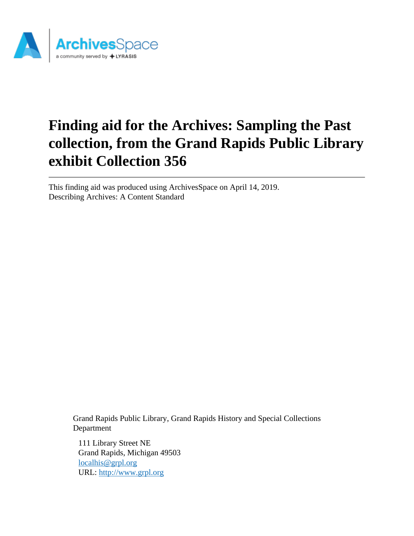

This finding aid was produced using ArchivesSpace on April 14, 2019. Describing Archives: A Content Standard

> Grand Rapids Public Library, Grand Rapids History and Special Collections Department

111 Library Street NE Grand Rapids, Michigan 49503 [localhis@grpl.org](mailto:localhis@grpl.org) URL:<http://www.grpl.org>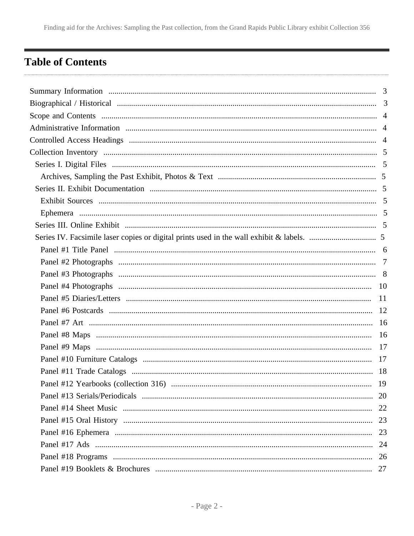## <span id="page-1-0"></span>**Table of Contents**

| 19 |
|----|
|    |
|    |
|    |
| 23 |
|    |
|    |
|    |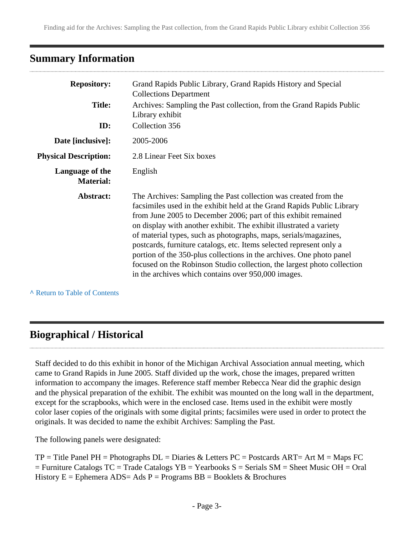## <span id="page-2-0"></span>**Summary Information**

| <b>Repository:</b>                  | Grand Rapids Public Library, Grand Rapids History and Special<br><b>Collections Department</b>                                                                                                                                                                                                                                                                                                                                                                                                                                                                                                                                         |  |
|-------------------------------------|----------------------------------------------------------------------------------------------------------------------------------------------------------------------------------------------------------------------------------------------------------------------------------------------------------------------------------------------------------------------------------------------------------------------------------------------------------------------------------------------------------------------------------------------------------------------------------------------------------------------------------------|--|
| <b>Title:</b>                       | Archives: Sampling the Past collection, from the Grand Rapids Public<br>Library exhibit                                                                                                                                                                                                                                                                                                                                                                                                                                                                                                                                                |  |
| ID:                                 | Collection 356                                                                                                                                                                                                                                                                                                                                                                                                                                                                                                                                                                                                                         |  |
| Date [inclusive]:                   | 2005-2006                                                                                                                                                                                                                                                                                                                                                                                                                                                                                                                                                                                                                              |  |
| <b>Physical Description:</b>        | 2.8 Linear Feet Six boxes                                                                                                                                                                                                                                                                                                                                                                                                                                                                                                                                                                                                              |  |
| Language of the<br><b>Material:</b> | English                                                                                                                                                                                                                                                                                                                                                                                                                                                                                                                                                                                                                                |  |
| Abstract:                           | The Archives: Sampling the Past collection was created from the<br>facsimiles used in the exhibit held at the Grand Rapids Public Library<br>from June 2005 to December 2006; part of this exhibit remained<br>on display with another exhibit. The exhibit illustrated a variety<br>of material types, such as photographs, maps, serials/magazines,<br>postcards, furniture catalogs, etc. Items selected represent only a<br>portion of the 350-plus collections in the archives. One photo panel<br>focused on the Robinson Studio collection, the largest photo collection<br>in the archives which contains over 950,000 images. |  |

**^** [Return to Table of Contents](#page-1-0)

## <span id="page-2-1"></span>**Biographical / Historical**

Staff decided to do this exhibit in honor of the Michigan Archival Association annual meeting, which came to Grand Rapids in June 2005. Staff divided up the work, chose the images, prepared written information to accompany the images. Reference staff member Rebecca Near did the graphic design and the physical preparation of the exhibit. The exhibit was mounted on the long wall in the department, except for the scrapbooks, which were in the enclosed case. Items used in the exhibit were mostly color laser copies of the originals with some digital prints; facsimiles were used in order to protect the originals. It was decided to name the exhibit Archives: Sampling the Past.

The following panels were designated:

 $TP = Title$  Panel PH = Photographs  $DL = Diaries$  & Letters PC = Postcards ART= Art M = Maps FC  $=$  Furniture Catalogs TC = Trade Catalogs YB = Yearbooks S = Serials SM = Sheet Music OH = Oral History  $E =$  Ephemera ADS= Ads P = Programs BB = Booklets & Brochures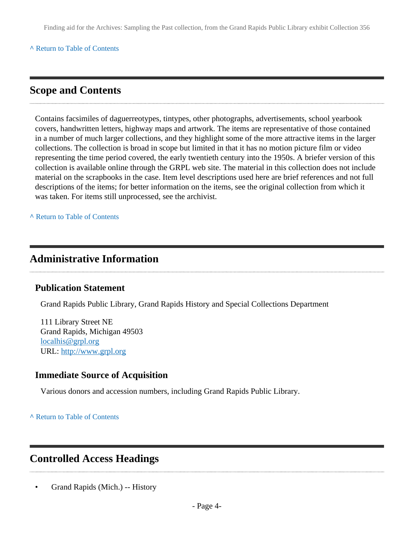#### **^** [Return to Table of Contents](#page-1-0)

### <span id="page-3-0"></span>**Scope and Contents**

Contains facsimiles of daguerreotypes, tintypes, other photographs, advertisements, school yearbook covers, handwritten letters, highway maps and artwork. The items are representative of those contained in a number of much larger collections, and they highlight some of the more attractive items in the larger collections. The collection is broad in scope but limited in that it has no motion picture film or video representing the time period covered, the early twentieth century into the 1950s. A briefer version of this collection is available online through the GRPL web site. The material in this collection does not include material on the scrapbooks in the case. Item level descriptions used here are brief references and not full descriptions of the items; for better information on the items, see the original collection from which it was taken. For items still unprocessed, see the archivist.

**^** [Return to Table of Contents](#page-1-0)

### <span id="page-3-1"></span>**Administrative Information**

#### **Publication Statement**

Grand Rapids Public Library, Grand Rapids History and Special Collections Department

111 Library Street NE Grand Rapids, Michigan 49503 [localhis@grpl.org](mailto:localhis@grpl.org) URL:<http://www.grpl.org>

#### **Immediate Source of Acquisition**

Various donors and accession numbers, including Grand Rapids Public Library.

#### **^** [Return to Table of Contents](#page-1-0)

## <span id="page-3-2"></span>**Controlled Access Headings**

• Grand Rapids (Mich.) -- History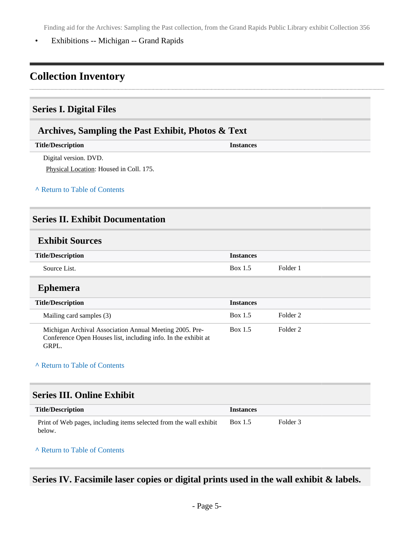• Exhibitions -- Michigan -- Grand Rapids

## <span id="page-4-0"></span>**Collection Inventory**

### <span id="page-4-1"></span>**Series I. Digital Files**

#### <span id="page-4-2"></span>**Archives, Sampling the Past Exhibit, Photos & Text**

| <b>Title/Description</b> | <i><u><b>Instances</b></u></i> |
|--------------------------|--------------------------------|
| Digital version. DVD.    |                                |

Physical Location: Housed in Coll. 175.

#### **^** [Return to Table of Contents](#page-1-0)

#### <span id="page-4-3"></span>**Series II. Exhibit Documentation**

#### <span id="page-4-4"></span>**Exhibit Sources**

| <b>Title/Description</b> | <i><u><b>Instances</b></u></i> |          |
|--------------------------|--------------------------------|----------|
| Source List.             | <b>Box 1.5</b>                 | Folder i |

#### <span id="page-4-5"></span>**Ephemera**

| <b>Title/Description</b>                                                                                                           | <b>Instances</b> |          |
|------------------------------------------------------------------------------------------------------------------------------------|------------------|----------|
| Mailing card samples (3)                                                                                                           | Box 1.5          | Folder 2 |
| Michigan Archival Association Annual Meeting 2005. Pre-<br>Conference Open Houses list, including info. In the exhibit at<br>GRPL. | Box 1.5          | Folder 2 |

#### **^** [Return to Table of Contents](#page-1-0)

#### <span id="page-4-6"></span>**Series III. Online Exhibit**

| <b>Title/Description</b>                                                     | <b>Instances</b> |          |
|------------------------------------------------------------------------------|------------------|----------|
| Print of Web pages, including items selected from the wall exhibit<br>below. | <b>Box 1.5</b>   | Folder 3 |

#### **^** [Return to Table of Contents](#page-1-0)

### <span id="page-4-7"></span>**Series IV. Facsimile laser copies or digital prints used in the wall exhibit & labels.**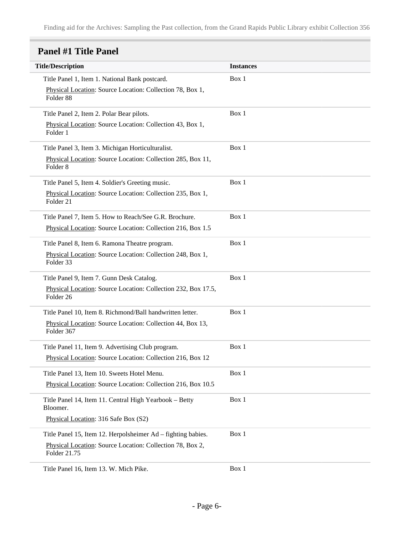## <span id="page-5-0"></span>**Panel #1 Title Panel**

| <b>Title/Description</b>                                                           | <b>Instances</b> |
|------------------------------------------------------------------------------------|------------------|
| Title Panel 1, Item 1. National Bank postcard.                                     | Box 1            |
| Physical Location: Source Location: Collection 78, Box 1,<br>Folder <sub>88</sub>  |                  |
| Title Panel 2, Item 2. Polar Bear pilots.                                          | Box 1            |
| Physical Location: Source Location: Collection 43, Box 1,<br>Folder 1              |                  |
| Title Panel 3, Item 3. Michigan Horticulturalist.                                  | Box 1            |
| Physical Location: Source Location: Collection 285, Box 11,<br>Folder <sub>8</sub> |                  |
| Title Panel 5, Item 4. Soldier's Greeting music.                                   | Box 1            |
| Physical Location: Source Location: Collection 235, Box 1,<br>Folder <sub>21</sub> |                  |
| Title Panel 7, Item 5. How to Reach/See G.R. Brochure.                             | Box 1            |
| Physical Location: Source Location: Collection 216, Box 1.5                        |                  |
| Title Panel 8, Item 6. Ramona Theatre program.                                     | Box 1            |
| Physical Location: Source Location: Collection 248, Box 1,<br>Folder 33            |                  |
| Title Panel 9, Item 7. Gunn Desk Catalog.                                          | Box 1            |
| Physical Location: Source Location: Collection 232, Box 17.5,<br>Folder 26         |                  |
| Title Panel 10, Item 8. Richmond/Ball handwritten letter.                          | Box 1            |
| Physical Location: Source Location: Collection 44, Box 13,<br>Folder 367           |                  |
| Title Panel 11, Item 9. Advertising Club program.                                  | Box 1            |
| Physical Location: Source Location: Collection 216, Box 12                         |                  |
| Title Panel 13, Item 10. Sweets Hotel Menu.                                        | Box 1            |
| Physical Location: Source Location: Collection 216, Box 10.5                       |                  |
| Title Panel 14, Item 11. Central High Yearbook - Betty<br>Bloomer.                 | Box 1            |
| Physical Location: 316 Safe Box (S2)                                               |                  |
| Title Panel 15, Item 12. Herpolsheimer Ad – fighting babies.                       | Box 1            |
| Physical Location: Source Location: Collection 78, Box 2,<br>Folder 21.75          |                  |
| Title Panel 16 Itam 13 W Mich Pike                                                 | Row 1            |

Title Panel 16, Item 13. W. Mich Pike. Box 1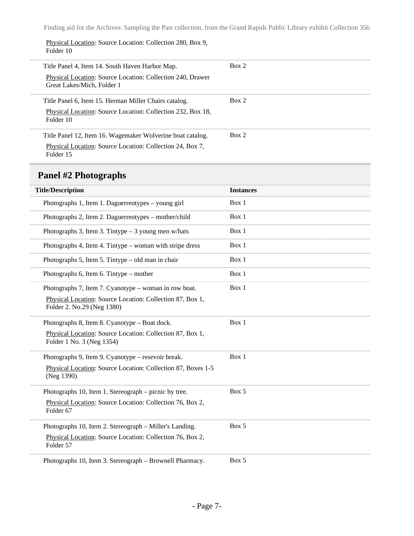Physical Location: Source Location: Collection 280, Box 9, Folder 10

| Title Panel 4, Item 14. South Haven Harbor Map.                                          | Box 2 |
|------------------------------------------------------------------------------------------|-------|
| Physical Location: Source Location: Collection 240, Drawer<br>Great Lakes/Mich, Folder 1 |       |
| Title Panel 6, Item 15. Herman Miller Chairs catalog.                                    | Box 2 |
| Physical Location: Source Location: Collection 232, Box 18,<br>Folder 10                 |       |
| Title Panel 12, Item 16. Wagemaker Wolverine boat catalog.                               | Box 2 |
| Physical Location: Source Location: Collection 24, Box 7,<br>Folder 15                   |       |

## <span id="page-6-0"></span>**Panel #2 Photographs**

| <b>Title/Description</b>                                                                | <b>Instances</b> |
|-----------------------------------------------------------------------------------------|------------------|
| Photographs 1, Item 1. Daguerreotypes – young girl                                      | Box 1            |
| Photographs 2, Item 2. Daguerreotypes - mother/child                                    | Box 1            |
| Photographs 3, Item 3. Tintype $-3$ young men w/hats                                    | Box 1            |
| Photographs 4, Item 4. Tintype – woman with stripe dress                                | Box 1            |
| Photographs 5, Item 5. Tintype – old man in chair                                       | Box 1            |
| Photographs 6, Item 6. Tintype – mother                                                 | Box 1            |
| Photographs 7, Item 7. Cyanotype – woman in row boat.                                   | Box 1            |
| Physical Location: Source Location: Collection 87, Box 1,<br>Folder 2. No.29 (Neg 1380) |                  |
| Photographs 8, Item 8. Cyanotype – Boat dock.                                           | Box 1            |
| Physical Location: Source Location: Collection 87, Box 1,<br>Folder 1 No. 3 (Neg 1354)  |                  |
| Photographs 9, Item 9. Cyanotype – resevoir break.                                      | Box 1            |
| Physical Location: Source Location: Collection 87, Boxes 1-5<br>(Neg 1390)              |                  |
| Photographs 10, Item 1. Stereograph – picnic by tree.                                   | Box 5            |
| Physical Location: Source Location: Collection 76, Box 2,<br>Folder 67                  |                  |
| Photographs 10, Item 2. Stereograph – Miller's Landing.                                 | Box 5            |
| Physical Location: Source Location: Collection 76, Box 2,<br>Folder 57                  |                  |
| Photographs 10, Item 3. Stereograph - Brownell Pharmacy.                                | Box 5            |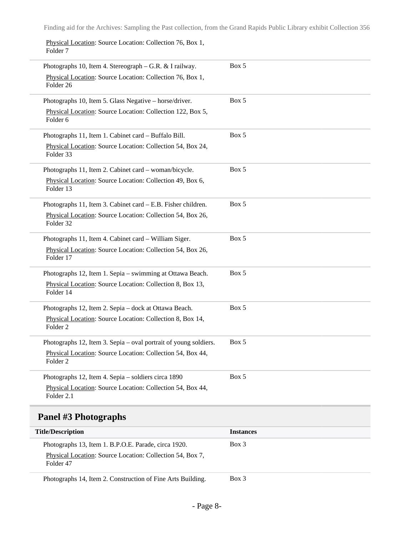Physical Location: Source Location: Collection 76, Box 1, Folder 7

| Photographs 10, Item 4. Stereograph – G.R. & I railway.<br>Physical Location: Source Location: Collection 76, Box 1,<br>Folder <sub>26</sub>          | Box 5 |
|-------------------------------------------------------------------------------------------------------------------------------------------------------|-------|
| Photographs 10, Item 5. Glass Negative - horse/driver.<br>Physical Location: Source Location: Collection 122, Box 5,<br>Folder <sub>6</sub>           | Box 5 |
| Photographs 11, Item 1. Cabinet card - Buffalo Bill.<br>Physical Location: Source Location: Collection 54, Box 24,<br>Folder 33                       | Box 5 |
| Photographs 11, Item 2. Cabinet card - woman/bicycle.<br>Physical Location: Source Location: Collection 49, Box 6,<br>Folder 13                       | Box 5 |
| Photographs 11, Item 3. Cabinet card – E.B. Fisher children.<br>Physical Location: Source Location: Collection 54, Box 26,<br>Folder 32               | Box 5 |
| Photographs 11, Item 4. Cabinet card - William Siger.<br>Physical Location: Source Location: Collection 54, Box 26,<br>Folder 17                      | Box 5 |
| Photographs 12, Item 1. Sepia – swimming at Ottawa Beach.<br>Physical Location: Source Location: Collection 8, Box 13,<br>Folder 14                   | Box 5 |
| Photographs 12, Item 2. Sepia - dock at Ottawa Beach.<br>Physical Location: Source Location: Collection 8, Box 14,<br>Folder <sub>2</sub>             | Box 5 |
| Photographs 12, Item 3. Sepia – oval portrait of young soldiers.<br>Physical Location: Source Location: Collection 54, Box 44,<br>Folder <sub>2</sub> | Box 5 |
| Photographs 12, Item 4. Sepia - soldiers circa 1890<br>Physical Location: Source Location: Collection 54, Box 44,<br>Folder 2.1                       | Box 5 |

### <span id="page-7-0"></span>**Panel #3 Photographs**

| <b>Title/Description</b>                                                                                                       | <b>Instances</b> |
|--------------------------------------------------------------------------------------------------------------------------------|------------------|
| Photographs 13, Item 1. B.P.O.E. Parade, circa 1920.<br>Physical Location: Source Location: Collection 54, Box 7,<br>Folder 47 | $Box$ 3          |
| Photographs 14, Item 2. Construction of Fine Arts Building.                                                                    | Box 3            |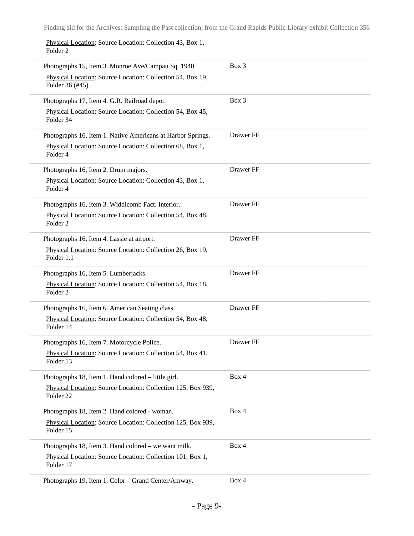Physical Location: Source Location: Collection 43, Box 1, Folder 2

| Photographs 15, Item 3. Monroe Ave/Campau Sq. 1940.                               | Box 3     |
|-----------------------------------------------------------------------------------|-----------|
| Physical Location: Source Location: Collection 54, Box 19,<br>Folder 36 (#45)     |           |
| Photographs 17, Item 4. G.R. Railroad depot.                                      | Box 3     |
| Physical Location: Source Location: Collection 54, Box 45,<br>Folder 34           |           |
| Photographs 16, Item 1. Native Americans at Harbor Springs.                       | Drawer FF |
| Physical Location: Source Location: Collection 68, Box 1,<br>Folder 4             |           |
| Photographs 16, Item 2. Drum majors.                                              | Drawer FF |
| Physical Location: Source Location: Collection 43, Box 1,<br>Folder 4             |           |
| Photographs 16, Item 3. Widdicomb Fact. Interior.                                 | Drawer FF |
| Physical Location: Source Location: Collection 54, Box 48,<br>Folder <sub>2</sub> |           |
| Photographs 16, Item 4. Lassie at airport.                                        | Drawer FF |
| Physical Location: Source Location: Collection 26, Box 19,<br>Folder 1.1          |           |
| Photographs 16, Item 5. Lumberjacks.                                              | Drawer FF |
| Physical Location: Source Location: Collection 54, Box 18,<br>Folder <sub>2</sub> |           |
| Photographs 16, Item 6. American Seating class.                                   | Drawer FF |
| Physical Location: Source Location: Collection 54, Box 48,<br>Folder 14           |           |
| Photographs 16, Item 7. Motorcycle Police.                                        | Drawer FF |
| Physical Location: Source Location: Collection 54, Box 41,<br>Folder 13           |           |
| Photographs 18, Item 1. Hand colored – little girl.                               | Box 4     |
| Physical Location: Source Location: Collection 125, Box 939,<br>Folder 22         |           |
| Photographs 18, Item 2. Hand colored - woman.                                     | Box 4     |
| Physical Location: Source Location: Collection 125, Box 939,<br>Folder 15         |           |
| Photographs 18, Item 3. Hand colored – we want milk.                              | Box 4     |
| Physical Location: Source Location: Collection 101, Box 1,<br>Folder 17           |           |
| Photographs 19, Item 1. Color - Grand Center/Amway.                               | Box 4     |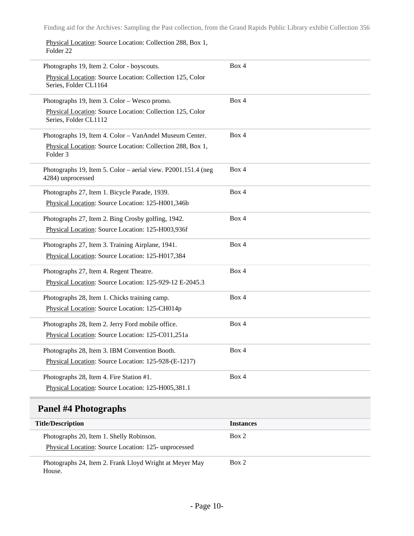Physical Location: Source Location: Collection 288, Box 1, Folder 22

| Photographs 19, Item 2. Color - boyscouts.                    | Box 4 |
|---------------------------------------------------------------|-------|
| Physical Location: Source Location: Collection 125, Color     |       |
| Series, Folder CL1164                                         |       |
| Photographs 19, Item 3. Color - Wesco promo.                  | Box 4 |
| Physical Location: Source Location: Collection 125, Color     |       |
| Series, Folder CL1112                                         |       |
| Photographs 19, Item 4. Color - VanAndel Museum Center.       | Box 4 |
| Physical Location: Source Location: Collection 288, Box 1,    |       |
| Folder <sub>3</sub>                                           |       |
| Photographs 19, Item 5. Color - aerial view. P2001.151.4 (neg | Box 4 |
| 4284) unprocessed                                             |       |
| Photographs 27, Item 1. Bicycle Parade, 1939.                 | Box 4 |
| Physical Location: Source Location: 125-H001,346b             |       |
| Photographs 27, Item 2. Bing Crosby golfing, 1942.            | Box 4 |
| Physical Location: Source Location: 125-H003,936f             |       |
| Photographs 27, Item 3. Training Airplane, 1941.              | Box 4 |
|                                                               |       |
| Physical Location: Source Location: 125-H017,384              |       |
| Photographs 27, Item 4. Regent Theatre.                       | Box 4 |
| Physical Location: Source Location: 125-929-12 E-2045.3       |       |
| Photographs 28, Item 1. Chicks training camp.                 | Box 4 |
| Physical Location: Source Location: 125-CH014p                |       |
| Photographs 28, Item 2. Jerry Ford mobile office.             | Box 4 |
| Physical Location: Source Location: 125-C011,251a             |       |
|                                                               |       |
| Photographs 28, Item 3. IBM Convention Booth.                 | Box 4 |
| Physical Location: Source Location: 125-928-(E-1217)          |       |
| Photographs 28, Item 4. Fire Station #1.                      | Box 4 |
| Physical Location: Source Location: 125-H005,381.1            |       |
|                                                               |       |

## <span id="page-9-0"></span>**Panel #4 Photographs**

| <b>Title/Description</b>                                                                         | <b>Instances</b> |
|--------------------------------------------------------------------------------------------------|------------------|
| Photographs 20, Item 1. Shelly Robinson.<br>Physical Location: Source Location: 125- unprocessed | Box 2            |
| Photographs 24, Item 2. Frank Lloyd Wright at Meyer May<br>House.                                | Box 2            |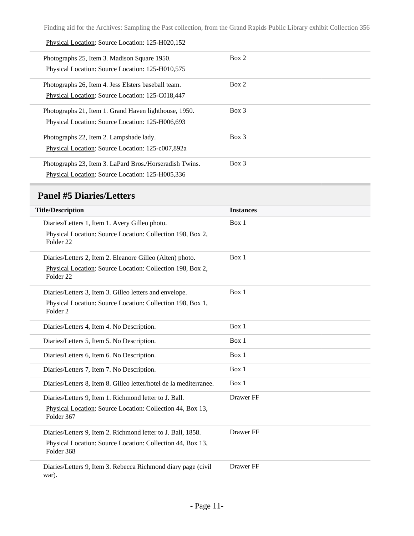#### Physical Location: Source Location: 125-H020,152

| Photographs 25, Item 3. Madison Square 1950.<br>Physical Location: Source Location: 125-H010,575            | Box 2 |
|-------------------------------------------------------------------------------------------------------------|-------|
| Photographs 26, Item 4. Jess Elsters baseball team.<br>Physical Location: Source Location: 125-C018,447     | Box 2 |
| Photographs 21, Item 1. Grand Haven lighthouse, 1950.<br>Physical Location: Source Location: 125-H006,693   | Box 3 |
| Photographs 22, Item 2. Lampshade lady.<br>Physical Location: Source Location: 125-c007,892a                | Box 3 |
| Photographs 23, Item 3. LaPard Bros./Horseradish Twins.<br>Physical Location: Source Location: 125-H005,336 | Box 3 |

### <span id="page-10-0"></span>**Panel #5 Diaries/Letters**

i.

| <b>Title/Description</b>                                                           | <b>Instances</b> |
|------------------------------------------------------------------------------------|------------------|
| Diaries/Letters 1, Item 1. Avery Gilleo photo.                                     | Box 1            |
| Physical Location: Source Location: Collection 198, Box 2,<br>Folder <sub>22</sub> |                  |
| Diaries/Letters 2, Item 2. Eleanore Gilleo (Alten) photo.                          | Box 1            |
| Physical Location: Source Location: Collection 198, Box 2,<br>Folder <sub>22</sub> |                  |
| Diaries/Letters 3, Item 3. Gilleo letters and envelope.                            | Box 1            |
| Physical Location: Source Location: Collection 198, Box 1,<br>Folder <sub>2</sub>  |                  |
| Diaries/Letters 4, Item 4. No Description.                                         | Box 1            |
| Diaries/Letters 5, Item 5. No Description.                                         | Box 1            |
| Diaries/Letters 6, Item 6. No Description.                                         | Box 1            |
| Diaries/Letters 7, Item 7. No Description.                                         | Box 1            |
| Diaries/Letters 8, Item 8. Gilleo letter/hotel de la mediterranee.                 | Box 1            |
| Diaries/Letters 9, Item 1. Richmond letter to J. Ball.                             | Drawer FF        |
| Physical Location: Source Location: Collection 44, Box 13,<br>Folder 367           |                  |
| Diaries/Letters 9, Item 2. Richmond letter to J. Ball, 1858.                       | Drawer FF        |
| Physical Location: Source Location: Collection 44, Box 13,<br>Folder 368           |                  |
| Diaries/Letters 9, Item 3. Rebecca Richmond diary page (civil<br>war).             | Drawer FF        |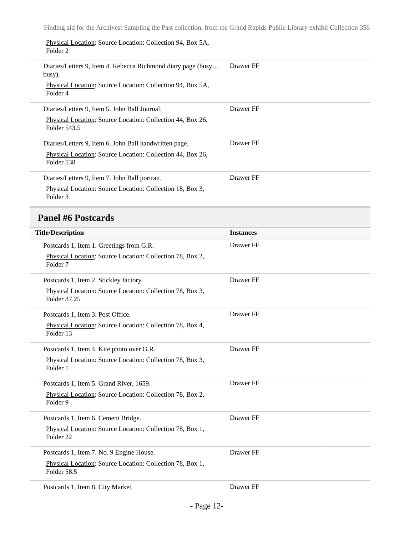Physical Location: Source Location: Collection 94, Box 5A,

| Folder <sub>2</sub>                                                              |                  |
|----------------------------------------------------------------------------------|------------------|
| Diaries/Letters 9, Item 4. Rebecca Richmond diary page (busy<br>busy).           | Drawer FF        |
| Physical Location: Source Location: Collection 94, Box 5A,<br>Folder 4           |                  |
| Diaries/Letters 9, Item 5. John Ball Journal.                                    | Drawer FF        |
| Physical Location: Source Location: Collection 44, Box 26,<br>Folder 543.5       |                  |
| Diaries/Letters 9, Item 6. John Ball handwritten page.                           | Drawer FF        |
| Physical Location: Source Location: Collection 44, Box 26,<br>Folder 538         |                  |
| Diaries/Letters 9, Item 7. John Ball portrait.                                   | Drawer FF        |
| Physical Location: Source Location: Collection 18, Box 3,<br>Folder 3            |                  |
| <b>Panel #6 Postcards</b>                                                        |                  |
| <b>Title/Description</b>                                                         | <b>Instances</b> |
| Postcards 1, Item 1. Greetings from G.R.                                         | Drawer FF        |
| Physical Location: Source Location: Collection 78, Box 2,<br>Folder <sub>7</sub> |                  |
| Postcards 1, Item 2. Stickley factory.                                           | Drawer FF        |
| Physical Location: Source Location: Collection 78, Box 3,<br>Folder 87.25        |                  |
| Postcards 1, Item 3. Post Office.                                                | Drawer FF        |
| Physical Location: Source Location: Collection 78, Box 4,<br>Folder 13           |                  |
| Postcards 1, Item 4. Kite photo over G.R.                                        | Drawer FF        |
| Physical Location: Source Location: Collection 78, Box 3,<br>Folder 1            |                  |
| Postcards 1, Item 5. Grand River, 1659.                                          | Drawer FF        |
| Physical Location: Source Location: Collection 78, Box 2,<br>Folder 9            |                  |
| Postcards 1, Item 6. Cement Bridge.                                              | Drawer FF        |

Physical Location: Source Location: Collection 78, Box 1, Folder 22 Postcards 1, Item 7. No. 9 Engine House.

Physical Location: Source Location: Collection 78, Box 1, Folder 58.5

Postcards 1, Item 8. City Market. Drawer FF

<span id="page-11-0"></span> $\overline{a}$ 

Drawer FF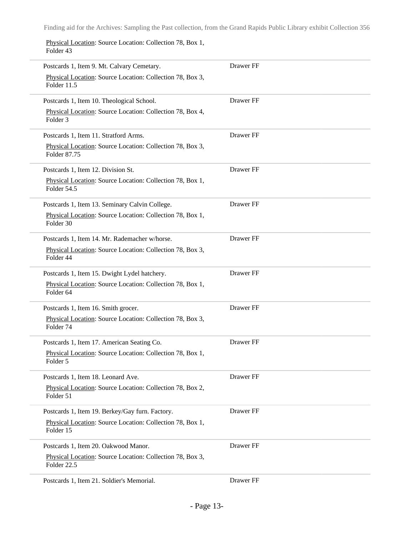Physical Location: Source Location: Collection 78, Box 1, Folder 43

| Postcards 1, Item 9. Mt. Calvary Cemetary.                                        | Drawer FF |
|-----------------------------------------------------------------------------------|-----------|
| Physical Location: Source Location: Collection 78, Box 3,<br>Folder 11.5          |           |
| Postcards 1, Item 10. Theological School.                                         | Drawer FF |
| Physical Location: Source Location: Collection 78, Box 4,<br>Folder <sub>3</sub>  |           |
| Postcards 1, Item 11. Stratford Arms.                                             | Drawer FF |
| Physical Location: Source Location: Collection 78, Box 3,<br>Folder 87.75         |           |
| Postcards 1, Item 12. Division St.                                                | Drawer FF |
| Physical Location: Source Location: Collection 78, Box 1,<br>Folder 54.5          |           |
| Postcards 1, Item 13. Seminary Calvin College.                                    | Drawer FF |
| Physical Location: Source Location: Collection 78, Box 1,<br>Folder 30            |           |
| Postcards 1, Item 14. Mr. Rademacher w/horse.                                     | Drawer FF |
| Physical Location: Source Location: Collection 78, Box 3,<br>Folder 44            |           |
| Postcards 1, Item 15. Dwight Lydel hatchery.                                      | Drawer FF |
| Physical Location: Source Location: Collection 78, Box 1,<br>Folder <sub>64</sub> |           |
| Postcards 1, Item 16. Smith grocer.                                               | Drawer FF |
| Physical Location: Source Location: Collection 78, Box 3,<br>Folder 74            |           |
| Postcards 1, Item 17. American Seating Co.                                        | Drawer FF |
| Physical Location: Source Location: Collection 78, Box 1,<br>Folder 5             |           |
| Postcards 1, Item 18. Leonard Ave.                                                | Drawer FF |
| Physical Location: Source Location: Collection 78, Box 2,<br>Folder 51            |           |
| Postcards 1, Item 19. Berkey/Gay furn. Factory.                                   | Drawer FF |
| Physical Location: Source Location: Collection 78, Box 1,<br>Folder 15            |           |
| Postcards 1, Item 20. Oakwood Manor.                                              | Drawer FF |
| Physical Location: Source Location: Collection 78, Box 3,<br>Folder 22.5          |           |
| Postcards 1, Item 21. Soldier's Memorial.                                         | Drawer FF |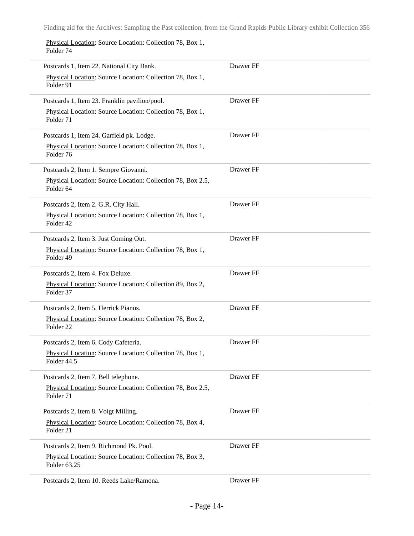Physical Location: Source Location: Collection 78, Box 1, Folder 74

| Postcards 1, Item 22. National City Bank.                                           | Drawer FF |
|-------------------------------------------------------------------------------------|-----------|
| Physical Location: Source Location: Collection 78, Box 1,<br>Folder 91              |           |
| Postcards 1, Item 23. Franklin pavilion/pool.                                       | Drawer FF |
| Physical Location: Source Location: Collection 78, Box 1,<br>Folder 71              |           |
| Postcards 1, Item 24. Garfield pk. Lodge.                                           | Drawer FF |
| Physical Location: Source Location: Collection 78, Box 1,<br>Folder 76              |           |
| Postcards 2, Item 1. Sempre Giovanni.                                               | Drawer FF |
| Physical Location: Source Location: Collection 78, Box 2.5,<br>Folder 64            |           |
| Postcards 2, Item 2. G.R. City Hall.                                                | Drawer FF |
| Physical Location: Source Location: Collection 78, Box 1,<br>Folder 42              |           |
| Postcards 2, Item 3. Just Coming Out.                                               | Drawer FF |
| Physical Location: Source Location: Collection 78, Box 1,<br>Folder 49              |           |
| Postcards 2, Item 4. Fox Deluxe.                                                    | Drawer FF |
| Physical Location: Source Location: Collection 89, Box 2,<br>Folder 37              |           |
| Postcards 2, Item 5. Herrick Pianos.                                                | Drawer FF |
| Physical Location: Source Location: Collection 78, Box 2,<br>Folder <sub>22</sub>   |           |
| Postcards 2, Item 6. Cody Cafeteria.                                                | Drawer FF |
| Physical Location: Source Location: Collection 78, Box 1,<br>Folder 44.5            |           |
| Postcards 2, Item 7. Bell telephone.                                                | Drawer FF |
| Physical Location: Source Location: Collection 78, Box 2.5,<br>Folder <sub>71</sub> |           |
| Postcards 2, Item 8. Voigt Milling.                                                 | Drawer FF |
| Physical Location: Source Location: Collection 78, Box 4,<br>Folder 21              |           |
| Postcards 2, Item 9. Richmond Pk. Pool.                                             | Drawer FF |
| Physical Location: Source Location: Collection 78, Box 3,<br>Folder 63.25           |           |
| Postcards 2, Item 10. Reeds Lake/Ramona.                                            | Drawer FF |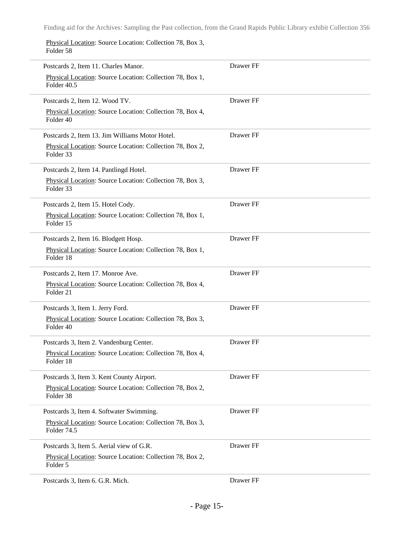Physical Location: Source Location: Collection 78, Box 3, Folder 58

i,

i,

 $\overline{\phantom{0}}$ 

| Postcards 2, Item 11. Charles Manor.                                     | Drawer FF |
|--------------------------------------------------------------------------|-----------|
| Physical Location: Source Location: Collection 78, Box 1,<br>Folder 40.5 |           |
| Postcards 2, Item 12. Wood TV.                                           | Drawer FF |
| Physical Location: Source Location: Collection 78, Box 4,<br>Folder 40   |           |
| Postcards 2, Item 13. Jim Williams Motor Hotel.                          | Drawer FF |
| Physical Location: Source Location: Collection 78, Box 2,<br>Folder 33   |           |
| Postcards 2, Item 14. Pantlingd Hotel.                                   | Drawer FF |
| Physical Location: Source Location: Collection 78, Box 3,<br>Folder 33   |           |
| Postcards 2, Item 15. Hotel Cody.                                        | Drawer FF |
| Physical Location: Source Location: Collection 78, Box 1,<br>Folder 15   |           |
| Postcards 2, Item 16. Blodgett Hosp.                                     | Drawer FF |
| Physical Location: Source Location: Collection 78, Box 1,<br>Folder 18   |           |
| Postcards 2, Item 17. Monroe Ave.                                        | Drawer FF |
| Physical Location: Source Location: Collection 78, Box 4,<br>Folder 21   |           |
| Postcards 3, Item 1. Jerry Ford.                                         | Drawer FF |
| Physical Location: Source Location: Collection 78, Box 3,<br>Folder 40   |           |
| Postcards 3, Item 2. Vandenburg Center.                                  | Drawer FF |
| Physical Location: Source Location: Collection 78, Box 4,<br>Folder 18   |           |
| Postcards 3, Item 3. Kent County Airport.                                | Drawer FF |
| Physical Location: Source Location: Collection 78, Box 2,<br>Folder 38   |           |
| Postcards 3, Item 4. Softwater Swimming.                                 | Drawer FF |
| Physical Location: Source Location: Collection 78, Box 3,<br>Folder 74.5 |           |
| Postcards 3, Item 5. Aerial view of G.R.                                 | Drawer FF |
| Physical Location: Source Location: Collection 78, Box 2,<br>Folder 5    |           |
| Postcards 3, Item 6. G.R. Mich.                                          | Drawer FF |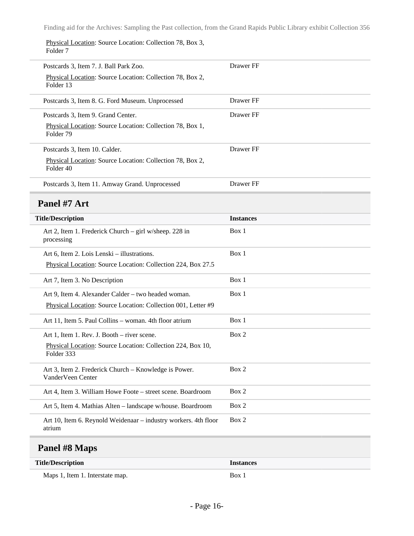Physical Location: Source Location: Collection 78, Box 3, Folder 7

<span id="page-15-0"></span>

| Postcards 3, Item 7. J. Ball Park Zoo.                                            | Drawer FF        |
|-----------------------------------------------------------------------------------|------------------|
| Physical Location: Source Location: Collection 78, Box 2,<br>Folder 13            |                  |
| Postcards 3, Item 8. G. Ford Museum. Unprocessed                                  | Drawer FF        |
| Postcards 3, Item 9. Grand Center.                                                | Drawer FF        |
| Physical Location: Source Location: Collection 78, Box 1,<br>Folder <sub>79</sub> |                  |
| Postcards 3, Item 10. Calder.                                                     | Drawer FF        |
| Physical Location: Source Location: Collection 78, Box 2,<br>Folder 40            |                  |
| Postcards 3, Item 11. Amway Grand. Unprocessed                                    | Drawer FF        |
| Panel #7 Art                                                                      |                  |
| <b>Title/Description</b>                                                          | <b>Instances</b> |
| Art 2, Item 1. Frederick Church – girl w/sheep. 228 in<br>processing              | Box 1            |
| Art 6, Item 2. Lois Lenski – illustrations.                                       | Box 1            |
| Physical Location: Source Location: Collection 224, Box 27.5                      |                  |
| Art 7, Item 3. No Description                                                     | Box 1            |
| Art 9, Item 4. Alexander Calder - two headed woman.                               | Box 1            |
| Physical Location: Source Location: Collection 001, Letter #9                     |                  |
| Art 11, Item 5. Paul Collins - woman. 4th floor atrium                            | Box 1            |
| Art 1, Item 1. Rev. J. Booth – river scene.                                       | Box 2            |
| Physical Location: Source Location: Collection 224, Box 10,<br>Folder 333         |                  |
| Art 3, Item 2. Frederick Church – Knowledge is Power.<br>VanderVeen Center        | Box 2            |
| Art 4, Item 3. William Howe Foote - street scene. Boardroom                       | Box 2            |
| Art 5, Item 4. Mathias Alten - landscape w/house. Boardroom                       | Box 2            |
| Art 10, Item 6. Reynold Weidenaar - industry workers. 4th floor<br>atrium         | Box 2            |
| Panel #8 Maps                                                                     |                  |

<span id="page-15-1"></span>

| <b>Title/Description</b>        | <b>Instances</b> |
|---------------------------------|------------------|
| Maps 1, Item 1. Interstate map. | <b>Box</b>       |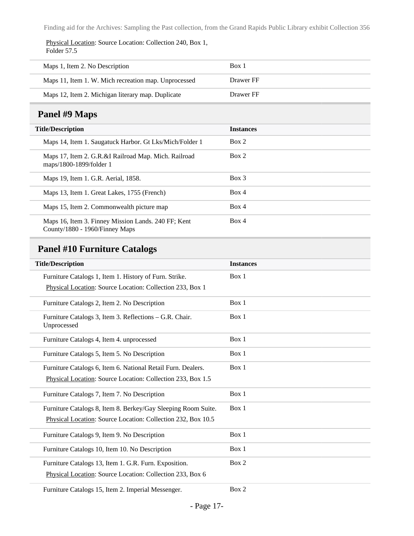Physical Location: Source Location: Collection 240, Box 1, Folder 57.5

| Maps 1, Item 2. No Description                       | Box 1     |
|------------------------------------------------------|-----------|
| Maps 11, Item 1. W. Mich recreation map. Unprocessed | Drawer FF |
| Maps 12, Item 2. Michigan literary map. Duplicate    | Drawer FF |

## <span id="page-16-0"></span>**Panel #9 Maps**

| <b>Title/Description</b>                                                              | <b>Instances</b> |
|---------------------------------------------------------------------------------------|------------------|
| Maps 14, Item 1. Saugatuck Harbor. Gt Lks/Mich/Folder 1                               | Box 2            |
| Maps 17, Item 2. G.R.&I Railroad Map. Mich. Railroad<br>maps/1800-1899/folder 1       | Box 2            |
| Maps 19, Item 1. G.R. Aerial, 1858.                                                   | $Box$ 3          |
| Maps 13, Item 1. Great Lakes, 1755 (French)                                           | Box 4            |
| Maps 15, Item 2. Commonwealth picture map                                             | Box 4            |
| Maps 16, Item 3. Finney Mission Lands. 240 FF; Kent<br>County/1880 - 1960/Finney Maps | Box 4            |

## <span id="page-16-1"></span>**Panel #10 Furniture Catalogs**

| <b>Title/Description</b>                                               | <b>Instances</b> |
|------------------------------------------------------------------------|------------------|
| Furniture Catalogs 1, Item 1. History of Furn. Strike.                 | Box 1            |
| Physical Location: Source Location: Collection 233, Box 1              |                  |
| Furniture Catalogs 2, Item 2. No Description                           | Box 1            |
| Furniture Catalogs 3, Item 3. Reflections – G.R. Chair.<br>Unprocessed | Box 1            |
| Furniture Catalogs 4, Item 4. unprocessed                              | Box 1            |
| Furniture Catalogs 5, Item 5. No Description                           | Box 1            |
| Furniture Catalogs 6, Item 6. National Retail Furn. Dealers.           | Box 1            |
| Physical Location: Source Location: Collection 233, Box 1.5            |                  |
| Furniture Catalogs 7, Item 7. No Description                           | Box 1            |
| Furniture Catalogs 8, Item 8. Berkey/Gay Sleeping Room Suite.          | Box 1            |
| Physical Location: Source Location: Collection 232, Box 10.5           |                  |
| Furniture Catalogs 9, Item 9. No Description                           | Box 1            |
| Furniture Catalogs 10, Item 10. No Description                         | Box 1            |
| Furniture Catalogs 13, Item 1. G.R. Furn. Exposition.                  | Box 2            |
| Physical Location: Source Location: Collection 233, Box 6              |                  |
| Furniture Catalogs 15, Item 2. Imperial Messenger.                     | Box 2            |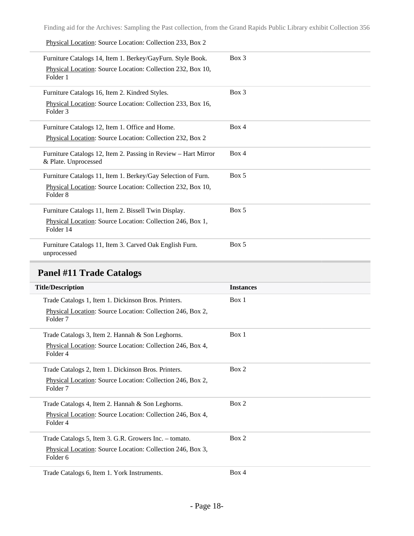Physical Location: Source Location: Collection 233, Box 2

| Furniture Catalogs 14, Item 1. Berkey/GayFurn. Style Book.<br>Physical Location: Source Location: Collection 232, Box 10,<br>Folder 1              | $Box$ 3 |
|----------------------------------------------------------------------------------------------------------------------------------------------------|---------|
| Furniture Catalogs 16, Item 2. Kindred Styles.<br>Physical Location: Source Location: Collection 233, Box 16,<br>Folder 3                          | $Box$ 3 |
| Furniture Catalogs 12, Item 1. Office and Home.<br>Physical Location: Source Location: Collection 232, Box 2                                       | Box 4   |
| Furniture Catalogs 12, Item 2. Passing in Review - Hart Mirror<br>& Plate. Unprocessed                                                             | Box 4   |
| Furniture Catalogs 11, Item 1. Berkey/Gay Selection of Furn.<br>Physical Location: Source Location: Collection 232, Box 10,<br>Folder <sub>8</sub> | Box 5   |
| Furniture Catalogs 11, Item 2. Bissell Twin Display.<br>Physical Location: Source Location: Collection 246, Box 1,<br>Folder 14                    | Box 5   |
| Furniture Catalogs 11, Item 3. Carved Oak English Furn.<br>unprocessed                                                                             | Box 5   |

## <span id="page-17-0"></span>**Panel #11 Trade Catalogs**

| <b>Title/Description</b>                                                          | <b>Instances</b> |
|-----------------------------------------------------------------------------------|------------------|
| Trade Catalogs 1, Item 1. Dickinson Bros. Printers.                               | Box 1            |
| Physical Location: Source Location: Collection 246, Box 2,<br>Folder <sub>7</sub> |                  |
| Trade Catalogs 3, Item 2. Hannah & Son Leghorns.                                  | Box 1            |
| Physical Location: Source Location: Collection 246, Box 4,<br>Folder 4            |                  |
| Trade Catalogs 2, Item 1. Dickinson Bros. Printers.                               | Box 2            |
| Physical Location: Source Location: Collection 246, Box 2,<br>Folder 7            |                  |
| Trade Catalogs 4, Item 2. Hannah & Son Leghorns.                                  | Box 2            |
| Physical Location: Source Location: Collection 246, Box 4,<br>Folder 4            |                  |
| Trade Catalogs 5, Item 3. G.R. Growers Inc. – tomato.                             | Box 2            |
| Physical Location: Source Location: Collection 246, Box 3,<br>Folder 6            |                  |
| Trade Catalogs 6, Item 1. York Instruments.                                       | Box 4            |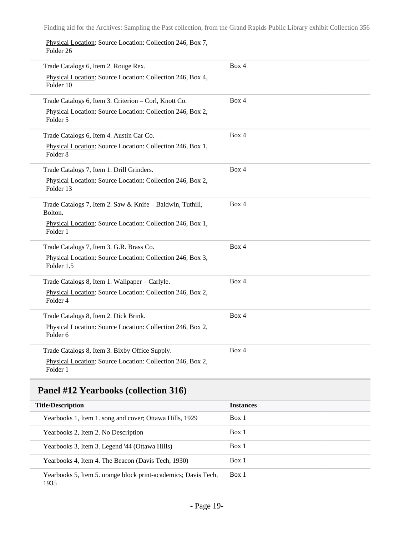Physical Location: Source Location: Collection 246, Box 7, Folder 26

| Trade Catalogs 6, Item 2. Rouge Rex.                                              | Box 4 |
|-----------------------------------------------------------------------------------|-------|
| Physical Location: Source Location: Collection 246, Box 4,<br>Folder 10           |       |
| Trade Catalogs 6, Item 3. Criterion - Corl, Knott Co.                             | Box 4 |
| Physical Location: Source Location: Collection 246, Box 2,<br>Folder 5            |       |
| Trade Catalogs 6, Item 4. Austin Car Co.                                          | Box 4 |
| Physical Location: Source Location: Collection 246, Box 1,<br>Folder <sub>8</sub> |       |
| Trade Catalogs 7, Item 1. Drill Grinders.                                         | Box 4 |
| Physical Location: Source Location: Collection 246, Box 2,<br>Folder 13           |       |
| Trade Catalogs 7, Item 2. Saw & Knife - Baldwin, Tuthill,<br>Bolton.              | Box 4 |
| Physical Location: Source Location: Collection 246, Box 1,<br>Folder 1            |       |
| Trade Catalogs 7, Item 3. G.R. Brass Co.                                          | Box 4 |
| Physical Location: Source Location: Collection 246, Box 3,<br>Folder 1.5          |       |
| Trade Catalogs 8, Item 1. Wallpaper - Carlyle.                                    | Box 4 |
| Physical Location: Source Location: Collection 246, Box 2,<br>Folder 4            |       |
| Trade Catalogs 8, Item 2. Dick Brink.                                             | Box 4 |
| Physical Location: Source Location: Collection 246, Box 2,<br>Folder 6            |       |
| Trade Catalogs 8, Item 3. Bixby Office Supply.                                    | Box 4 |
| Physical Location: Source Location: Collection 246, Box 2,<br>Folder 1            |       |

## <span id="page-18-0"></span>**Panel #12 Yearbooks (collection 316)**

| <b>Title/Description</b>                                       | <b>Instances</b> |
|----------------------------------------------------------------|------------------|
| Yearbooks 1, Item 1. song and cover; Ottawa Hills, 1929        | Box 1            |
| Yearbooks 2, Item 2. No Description                            | Box 1            |
| Yearbooks 3, Item 3. Legend '44 (Ottawa Hills)                 | Box 1            |
| Yearbooks 4, Item 4. The Beacon (Davis Tech, 1930)             | Box 1            |
| Yearbooks 5, Item 5. orange block print-academics; Davis Tech, | Box 1            |

1935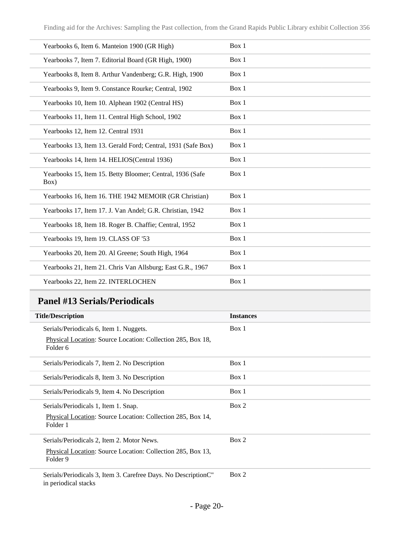| Yearbooks 6, Item 6. Manteion 1900 (GR High)                      | Box 1 |
|-------------------------------------------------------------------|-------|
| Yearbooks 7, Item 7. Editorial Board (GR High, 1900)              | Box 1 |
| Yearbooks 8, Item 8. Arthur Vandenberg; G.R. High, 1900           | Box 1 |
| Yearbooks 9, Item 9. Constance Rourke; Central, 1902              | Box 1 |
| Yearbooks 10, Item 10. Alphean 1902 (Central HS)                  | Box 1 |
| Yearbooks 11, Item 11. Central High School, 1902                  | Box 1 |
| Yearbooks 12, Item 12. Central 1931                               | Box 1 |
| Yearbooks 13, Item 13. Gerald Ford; Central, 1931 (Safe Box)      | Box 1 |
| Yearbooks 14, Item 14. HELIOS(Central 1936)                       | Box 1 |
| Yearbooks 15, Item 15. Betty Bloomer; Central, 1936 (Safe<br>Box) | Box 1 |
| Yearbooks 16, Item 16. THE 1942 MEMOIR (GR Christian)             | Box 1 |
| Yearbooks 17, Item 17. J. Van Andel; G.R. Christian, 1942         | Box 1 |
| Yearbooks 18, Item 18. Roger B. Chaffie; Central, 1952            | Box 1 |
| Yearbooks 19, Item 19. CLASS OF '53                               | Box 1 |
| Yearbooks 20, Item 20. Al Greene; South High, 1964                | Box 1 |
| Yearbooks 21, Item 21. Chris Van Allsburg; East G.R., 1967        | Box 1 |
| Yearbooks 22, Item 22. INTERLOCHEN                                | Box 1 |

## <span id="page-19-0"></span>**Panel #13 Serials/Periodicals**

| <b>Title/Description</b>                                                               | <b>Instances</b> |
|----------------------------------------------------------------------------------------|------------------|
| Serials/Periodicals 6, Item 1. Nuggets.                                                | Box 1            |
| Physical Location: Source Location: Collection 285, Box 18,<br>Folder 6                |                  |
| Serials/Periodicals 7, Item 2. No Description                                          | Box 1            |
| Serials/Periodicals 8, Item 3. No Description                                          | Box 1            |
| Serials/Periodicals 9, Item 4. No Description                                          | Box 1            |
| Serials/Periodicals 1, Item 1. Snap.                                                   | Box 2            |
| Physical Location: Source Location: Collection 285, Box 14,<br>Folder 1                |                  |
| Serials/Periodicals 2, Item 2. Motor News.                                             | Box 2            |
| Physical Location: Source Location: Collection 285, Box 13,<br>Folder 9                |                  |
| Serials/Periodicals 3, Item 3. Carefree Days. No DescriptionC"<br>in periodical stacks | Box 2            |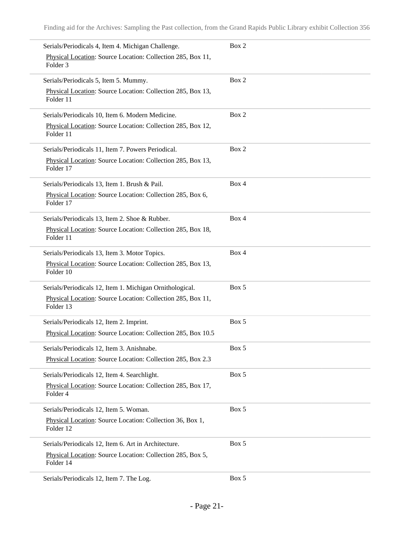| Serials/Periodicals 4, Item 4. Michigan Challenge.                                 | Box 2 |
|------------------------------------------------------------------------------------|-------|
| Physical Location: Source Location: Collection 285, Box 11,<br>Folder <sub>3</sub> |       |
| Serials/Periodicals 5, Item 5. Mummy.                                              | Box 2 |
| Physical Location: Source Location: Collection 285, Box 13,<br>Folder 11           |       |
| Serials/Periodicals 10, Item 6. Modern Medicine.                                   | Box 2 |
| Physical Location: Source Location: Collection 285, Box 12,<br>Folder 11           |       |
| Serials/Periodicals 11, Item 7. Powers Periodical.                                 | Box 2 |
| Physical Location: Source Location: Collection 285, Box 13,<br>Folder 17           |       |
| Serials/Periodicals 13, Item 1. Brush & Pail.                                      | Box 4 |
| Physical Location: Source Location: Collection 285, Box 6,<br>Folder 17            |       |
| Serials/Periodicals 13, Item 2. Shoe & Rubber.                                     | Box 4 |
| Physical Location: Source Location: Collection 285, Box 18,<br>Folder 11           |       |
| Serials/Periodicals 13, Item 3. Motor Topics.                                      | Box 4 |
| Physical Location: Source Location: Collection 285, Box 13,<br>Folder 10           |       |
| Serials/Periodicals 12, Item 1. Michigan Ornithological.                           | Box 5 |
| Physical Location: Source Location: Collection 285, Box 11,<br>Folder 13           |       |
| Serials/Periodicals 12, Item 2. Imprint.                                           | Box 5 |
| Physical Location: Source Location: Collection 285, Box 10.5                       |       |
| Serials/Periodicals 12, Item 3. Anishnabe.                                         | Box 5 |
| Physical Location: Source Location: Collection 285, Box 2.3                        |       |
| Serials/Periodicals 12, Item 4. Searchlight.                                       | Box 5 |
| Physical Location: Source Location: Collection 285, Box 17,<br>Folder 4            |       |
| Serials/Periodicals 12, Item 5. Woman.                                             | Box 5 |
| Physical Location: Source Location: Collection 36, Box 1,<br>Folder 12             |       |
| Serials/Periodicals 12, Item 6. Art in Architecture.                               | Box 5 |
| Physical Location: Source Location: Collection 285, Box 5,<br>Folder 14            |       |
| Serials/Periodicals 12, Item 7. The Log.                                           | Box 5 |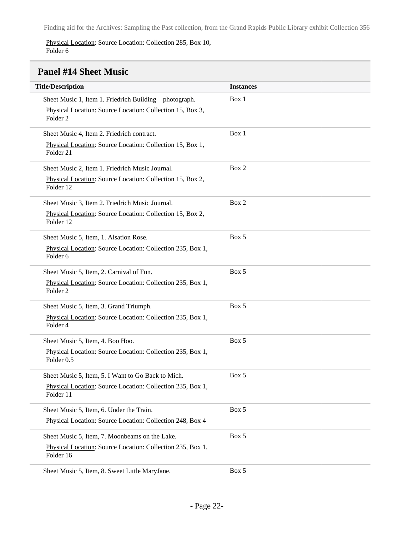Physical Location: Source Location: Collection 285, Box 10, Folder 6

## <span id="page-21-0"></span>**Panel #14 Sheet Music**

| <b>Title/Description</b>                                                          | <b>Instances</b> |
|-----------------------------------------------------------------------------------|------------------|
| Sheet Music 1, Item 1. Friedrich Building – photograph.                           | Box 1            |
| Physical Location: Source Location: Collection 15, Box 3,<br>Folder <sub>2</sub>  |                  |
| Sheet Music 4, Item 2. Friedrich contract.                                        | Box 1            |
| Physical Location: Source Location: Collection 15, Box 1,<br>Folder <sub>21</sub> |                  |
| Sheet Music 2, Item 1. Friedrich Music Journal.                                   | Box 2            |
| Physical Location: Source Location: Collection 15, Box 2,<br>Folder 12            |                  |
| Sheet Music 3, Item 2. Friedrich Music Journal.                                   | Box 2            |
| Physical Location: Source Location: Collection 15, Box 2,<br>Folder 12            |                  |
| Sheet Music 5, Item, 1. Alsation Rose.                                            | Box 5            |
| Physical Location: Source Location: Collection 235, Box 1,<br>Folder <sub>6</sub> |                  |
| Sheet Music 5, Item, 2. Carnival of Fun.                                          | Box 5            |
| Physical Location: Source Location: Collection 235, Box 1,<br>Folder <sub>2</sub> |                  |
| Sheet Music 5, Item, 3. Grand Triumph.                                            | Box 5            |
| Physical Location: Source Location: Collection 235, Box 1,<br>Folder 4            |                  |
| Sheet Music 5, Item, 4. Boo Hoo.                                                  | Box 5            |
| Physical Location: Source Location: Collection 235, Box 1,<br>Folder 0.5          |                  |
| Sheet Music 5, Item, 5. I Want to Go Back to Mich.                                | Box 5            |
| Physical Location: Source Location: Collection 235, Box 1,<br>Folder 11           |                  |
| Sheet Music 5, Item, 6. Under the Train.                                          | Box 5            |
| Physical Location: Source Location: Collection 248, Box 4                         |                  |
| Sheet Music 5, Item, 7. Moonbeams on the Lake.                                    | Box 5            |
| Physical Location: Source Location: Collection 235, Box 1,<br>Folder 16           |                  |
| Sheet Music 5, Item, 8. Sweet Little MaryJane.                                    | Box 5            |

- Page 22-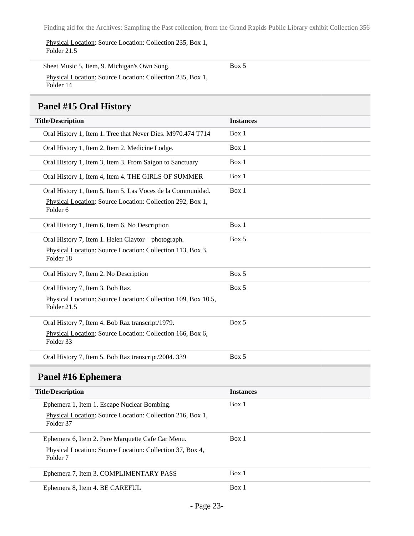Physical Location: Source Location: Collection 235, Box 1, Folder 21.5

Sheet Music 5, Item, 9. Michigan's Own Song. Physical Location: Source Location: Collection 235, Box 1, Folder 14

Box 5

### <span id="page-22-0"></span>**Panel #15 Oral History**

<span id="page-22-1"></span>

| <b>Title/Description</b>                                                         | <b>Instances</b> |
|----------------------------------------------------------------------------------|------------------|
| Oral History 1, Item 1. Tree that Never Dies. M970.474 T714                      | Box 1            |
| Oral History 1, Item 2, Item 2. Medicine Lodge.                                  | Box 1            |
| Oral History 1, Item 3, Item 3. From Saigon to Sanctuary                         | Box 1            |
| Oral History 1, Item 4, Item 4. THE GIRLS OF SUMMER                              | Box 1            |
| Oral History 1, Item 5, Item 5. Las Voces de la Communidad.                      | Box 1            |
| Physical Location: Source Location: Collection 292, Box 1,<br>Folder 6           |                  |
| Oral History 1, Item 6, Item 6. No Description                                   | Box 1            |
| Oral History 7, Item 1. Helen Claytor - photograph.                              | Box 5            |
| Physical Location: Source Location: Collection 113, Box 3,<br>Folder 18          |                  |
| Oral History 7, Item 2. No Description                                           | Box 5            |
| Oral History 7, Item 3. Bob Raz.                                                 | Box 5            |
| Physical Location: Source Location: Collection 109, Box 10.5,<br>Folder 21.5     |                  |
| Oral History 7, Item 4. Bob Raz transcript/1979.                                 | Box 5            |
| Physical Location: Source Location: Collection 166, Box 6,<br>Folder 33          |                  |
| Oral History 7, Item 5. Bob Raz transcript/2004. 339                             | Box 5            |
| Panel #16 Ephemera                                                               |                  |
| <b>Title/Description</b>                                                         | <b>Instances</b> |
| Ephemera 1, Item 1. Escape Nuclear Bombing.                                      | Box 1            |
| Physical Location: Source Location: Collection 216, Box 1,<br>Folder 37          |                  |
| Ephemera 6, Item 2. Pere Marquette Cafe Car Menu.                                | Box 1            |
| Physical Location: Source Location: Collection 37, Box 4,<br>Folder <sub>7</sub> |                  |
| Ephemera 7, Item 3. COMPLIMENTARY PASS                                           | Box 1            |
| Ephemera 8, Item 4. BE CAREFUL                                                   | Box 1            |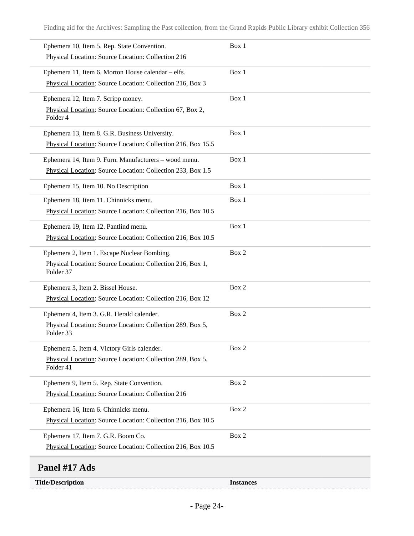| Ephemera 10, Item 5. Rep. State Convention.                                        | Box 1 |
|------------------------------------------------------------------------------------|-------|
| Physical Location: Source Location: Collection 216                                 |       |
| Ephemera 11, Item 6. Morton House calendar - elfs.                                 | Box 1 |
| Physical Location: Source Location: Collection 216, Box 3                          |       |
| Ephemera 12, Item 7. Scripp money.                                                 | Box 1 |
| Physical Location: Source Location: Collection 67, Box 2,<br>Folder 4              |       |
| Ephemera 13, Item 8. G.R. Business University.                                     | Box 1 |
| Physical Location: Source Location: Collection 216, Box 15.5                       |       |
| Ephemera 14, Item 9. Furn. Manufacturers - wood menu.                              | Box 1 |
| Physical Location: Source Location: Collection 233, Box 1.5                        |       |
| Ephemera 15, Item 10. No Description                                               | Box 1 |
| Ephemera 18, Item 11. Chinnicks menu.                                              | Box 1 |
| Physical Location: Source Location: Collection 216, Box 10.5                       |       |
| Ephemera 19, Item 12. Pantlind menu.                                               | Box 1 |
| Physical Location: Source Location: Collection 216, Box 10.5                       |       |
| Ephemera 2, Item 1. Escape Nuclear Bombing.                                        | Box 2 |
| Physical Location: Source Location: Collection 216, Box 1,<br>Folder 37            |       |
| Ephemera 3, Item 2. Bissel House.                                                  | Box 2 |
| Physical Location: Source Location: Collection 216, Box 12                         |       |
| Ephemera 4, Item 3. G.R. Herald calender.                                          | Box 2 |
| Physical Location: Source Location: Collection 289, Box 5,<br>Folder 33            |       |
| Ephemera 5, Item 4. Victory Girls calender.                                        | Box 2 |
| Physical Location: Source Location: Collection 289, Box 5,<br>Folder <sub>41</sub> |       |
| Ephemera 9, Item 5. Rep. State Convention.                                         | Box 2 |
| Physical Location: Source Location: Collection 216                                 |       |
| Ephemera 16, Item 6. Chinnicks menu.                                               | Box 2 |
| Physical Location: Source Location: Collection 216, Box 10.5                       |       |
| Ephemera 17, Item 7. G.R. Boom Co.                                                 | Box 2 |
| Physical Location: Source Location: Collection 216, Box 10.5                       |       |

<span id="page-23-0"></span>**Title/Description Instances**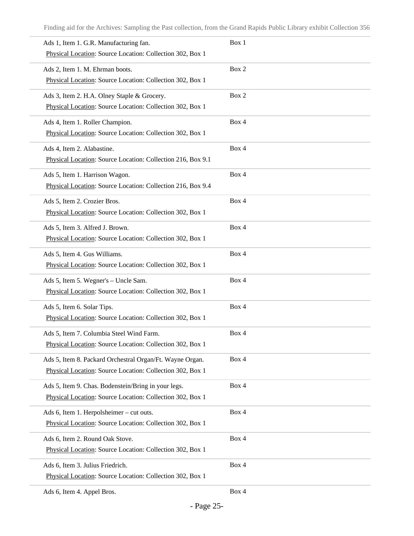| Ads 1, Item 1. G.R. Manufacturing fan.                      | Box 1 |
|-------------------------------------------------------------|-------|
| Physical Location: Source Location: Collection 302, Box 1   |       |
| Ads 2, Item 1. M. Ehrman boots.                             | Box 2 |
| Physical Location: Source Location: Collection 302, Box 1   |       |
| Ads 3, Item 2. H.A. Olney Staple & Grocery.                 | Box 2 |
| Physical Location: Source Location: Collection 302, Box 1   |       |
| Ads 4, Item 1. Roller Champion.                             | Box 4 |
| Physical Location: Source Location: Collection 302, Box 1   |       |
| Ads 4, Item 2. Alabastine.                                  | Box 4 |
| Physical Location: Source Location: Collection 216, Box 9.1 |       |
| Ads 5, Item 1. Harrison Wagon.                              | Box 4 |
| Physical Location: Source Location: Collection 216, Box 9.4 |       |
| Ads 5, Item 2. Crozier Bros.                                | Box 4 |
| Physical Location: Source Location: Collection 302, Box 1   |       |
| Ads 5, Item 3. Alfred J. Brown.                             | Box 4 |
| Physical Location: Source Location: Collection 302, Box 1   |       |
| Ads 5, Item 4. Gus Williams.                                | Box 4 |
| Physical Location: Source Location: Collection 302, Box 1   |       |
| Ads 5, Item 5. Wegner's - Uncle Sam.                        | Box 4 |
| Physical Location: Source Location: Collection 302, Box 1   |       |
| Ads 5, Item 6. Solar Tips.                                  | Box 4 |
| Physical Location: Source Location: Collection 302, Box 1   |       |
| Ads 5, Item 7. Columbia Steel Wind Farm.                    | Box 4 |
| Physical Location: Source Location: Collection 302, Box 1   |       |
| Ads 5, Item 8. Packard Orchestral Organ/Ft. Wayne Organ.    | Box 4 |
| Physical Location: Source Location: Collection 302, Box 1   |       |
| Ads 5, Item 9. Chas. Bodenstein/Bring in your legs.         | Box 4 |
| Physical Location: Source Location: Collection 302, Box 1   |       |
| Ads 6, Item 1. Herpolsheimer - cut outs.                    | Box 4 |
| Physical Location: Source Location: Collection 302, Box 1   |       |
| Ads 6, Item 2. Round Oak Stove.                             | Box 4 |
| Physical Location: Source Location: Collection 302, Box 1   |       |
| Ads 6, Item 3. Julius Friedrich.                            | Box 4 |
| Physical Location: Source Location: Collection 302, Box 1   |       |
| Ads 6, Item 4. Appel Bros.                                  | Box 4 |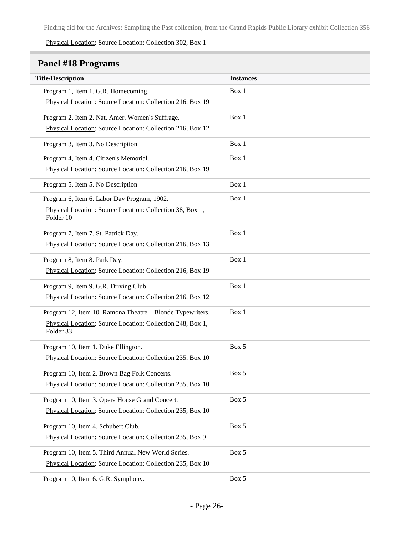Physical Location: Source Location: Collection 302, Box 1

### <span id="page-25-0"></span>**Panel #18 Programs**

| <b>Title/Description</b>                                                | <b>Instances</b> |
|-------------------------------------------------------------------------|------------------|
| Program 1, Item 1. G.R. Homecoming.                                     | Box 1            |
| Physical Location: Source Location: Collection 216, Box 19              |                  |
| Program 2, Item 2. Nat. Amer. Women's Suffrage.                         | Box 1            |
| Physical Location: Source Location: Collection 216, Box 12              |                  |
| Program 3, Item 3. No Description                                       | Box 1            |
| Program 4, Item 4. Citizen's Memorial.                                  | Box 1            |
| Physical Location: Source Location: Collection 216, Box 19              |                  |
| Program 5, Item 5. No Description                                       | Box 1            |
| Program 6, Item 6. Labor Day Program, 1902.                             | Box 1            |
| Physical Location: Source Location: Collection 38, Box 1,<br>Folder 10  |                  |
| Program 7, Item 7. St. Patrick Day.                                     | Box 1            |
| Physical Location: Source Location: Collection 216, Box 13              |                  |
| Program 8, Item 8. Park Day.                                            | Box 1            |
| Physical Location: Source Location: Collection 216, Box 19              |                  |
| Program 9, Item 9. G.R. Driving Club.                                   | Box 1            |
| Physical Location: Source Location: Collection 216, Box 12              |                  |
| Program 12, Item 10. Ramona Theatre - Blonde Typewriters.               | Box 1            |
| Physical Location: Source Location: Collection 248, Box 1,<br>Folder 33 |                  |
| Program 10, Item 1. Duke Ellington.                                     | Box 5            |
| Physical Location: Source Location: Collection 235, Box 10              |                  |
| Program 10, Item 2. Brown Bag Folk Concerts.                            | Box 5            |
| Physical Location: Source Location: Collection 235, Box 10              |                  |
| Program 10, Item 3. Opera House Grand Concert.                          | Box 5            |
| Physical Location: Source Location: Collection 235, Box 10              |                  |
| Program 10, Item 4. Schubert Club.                                      | Box 5            |
| Physical Location: Source Location: Collection 235, Box 9               |                  |
| Program 10, Item 5. Third Annual New World Series.                      | Box 5            |
| Physical Location: Source Location: Collection 235, Box 10              |                  |
| Program 10, Item 6. G.R. Symphony.                                      | Box 5            |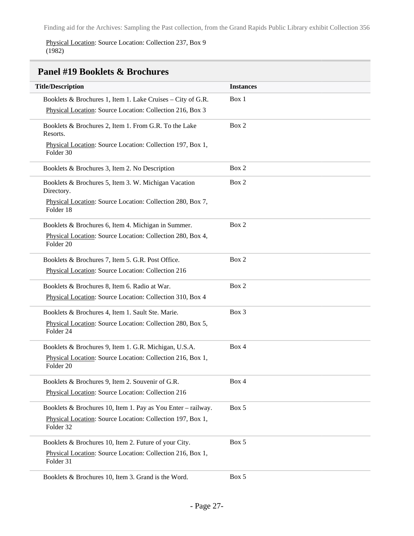Physical Location: Source Location: Collection 237, Box 9 (1982)

<span id="page-26-0"></span>

| <b>Panel #19 Booklets &amp; Brochures</b>                               |                  |
|-------------------------------------------------------------------------|------------------|
| <b>Title/Description</b>                                                | <b>Instances</b> |
| Booklets & Brochures 1, Item 1. Lake Cruises - City of G.R.             | Box 1            |
| Physical Location: Source Location: Collection 216, Box 3               |                  |
| Booklets & Brochures 2, Item 1. From G.R. To the Lake<br>Resorts.       | Box 2            |
| Physical Location: Source Location: Collection 197, Box 1,<br>Folder 30 |                  |
| Booklets & Brochures 3, Item 2. No Description                          | Box 2            |
| Booklets & Brochures 5, Item 3. W. Michigan Vacation<br>Directory.      | Box 2            |
| Physical Location: Source Location: Collection 280, Box 7,<br>Folder 18 |                  |
| Booklets & Brochures 6, Item 4. Michigan in Summer.                     | Box 2            |
| Physical Location: Source Location: Collection 280, Box 4,<br>Folder 20 |                  |
| Booklets & Brochures 7, Item 5. G.R. Post Office.                       | Box 2            |
| Physical Location: Source Location: Collection 216                      |                  |
| Booklets & Brochures 8, Item 6. Radio at War.                           | Box 2            |
| Physical Location: Source Location: Collection 310, Box 4               |                  |
| Booklets & Brochures 4, Item 1. Sault Ste. Marie.                       | Box 3            |
| Physical Location: Source Location: Collection 280, Box 5,<br>Folder 24 |                  |
| Booklets & Brochures 9, Item 1. G.R. Michigan, U.S.A.                   | Box 4            |
| Physical Location: Source Location: Collection 216, Box 1,<br>Folder 20 |                  |
| Booklets & Brochures 9, Item 2. Souvenir of G.R.                        | Box 4            |
| Physical Location: Source Location: Collection 216                      |                  |
| Booklets & Brochures 10, Item 1. Pay as You Enter - railway.            | Box 5            |
| Physical Location: Source Location: Collection 197, Box 1,<br>Folder 32 |                  |
| Booklets & Brochures 10, Item 2. Future of your City.                   | Box 5            |
| Physical Location: Source Location: Collection 216, Box 1,<br>Folder 31 |                  |
| Booklets & Brochures 10, Item 3. Grand is the Word.                     | Box 5            |